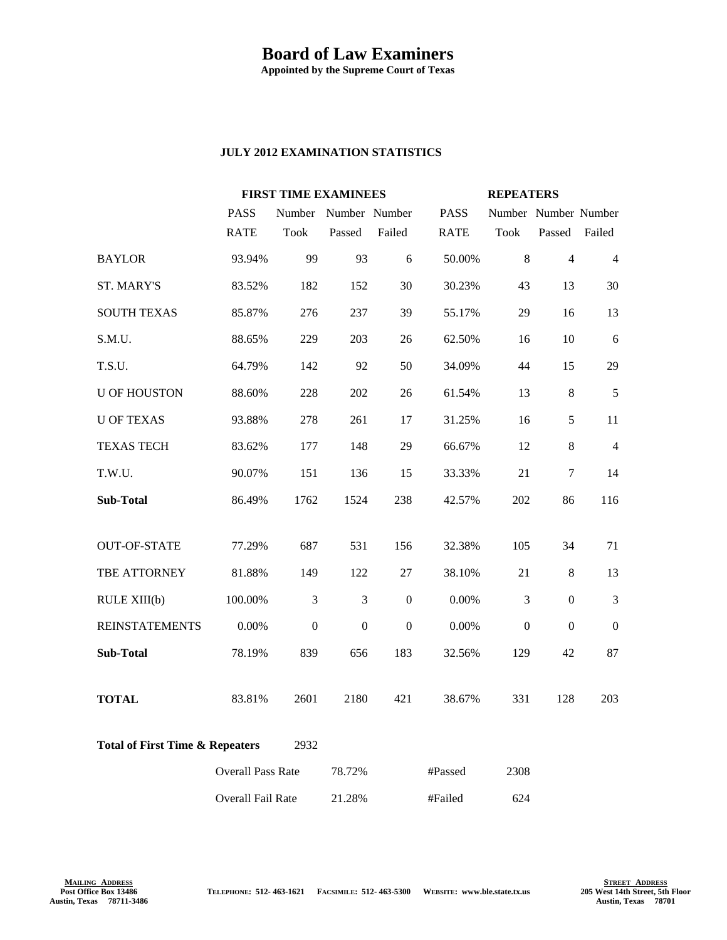## **Board of Law Examiners**

**Appointed by the Supreme Court of Texas**

## **JULY 2012 EXAMINATION STATISTICS**

|                                                    |                          | <b>FIRST TIME EXAMINEES</b> |                      |                  |             | <b>REPEATERS</b>     |                  |                |
|----------------------------------------------------|--------------------------|-----------------------------|----------------------|------------------|-------------|----------------------|------------------|----------------|
|                                                    | <b>PASS</b>              |                             | Number Number Number |                  | <b>PASS</b> | Number Number Number |                  |                |
|                                                    | <b>RATE</b>              | <b>Took</b>                 | Passed               | Failed           | <b>RATE</b> | <b>Took</b>          | Passed           | Failed         |
| <b>BAYLOR</b>                                      | 93.94%                   | 99                          | 93                   | 6                | 50.00%      | $8\,$                | $\overline{4}$   | $\overline{4}$ |
| <b>ST. MARY'S</b>                                  | 83.52%                   | 182                         | 152                  | 30               | 30.23%      | 43                   | 13               | 30             |
| <b>SOUTH TEXAS</b>                                 | 85.87%                   | 276                         | 237                  | 39               | 55.17%      | 29                   | 16               | 13             |
| S.M.U.                                             | 88.65%                   | 229                         | 203                  | 26               | 62.50%      | 16                   | 10               | 6              |
| T.S.U.                                             | 64.79%                   | 142                         | 92                   | 50               | 34.09%      | 44                   | 15               | 29             |
| <b>U OF HOUSTON</b>                                | 88.60%                   | 228                         | 202                  | 26               | 61.54%      | 13                   | 8                | 5              |
| <b>U OF TEXAS</b>                                  | 93.88%                   | 278                         | 261                  | 17               | 31.25%      | 16                   | 5                | 11             |
| <b>TEXAS TECH</b>                                  | 83.62%                   | 177                         | 148                  | 29               | 66.67%      | 12                   | 8                | $\overline{4}$ |
| T.W.U.                                             | 90.07%                   | 151                         | 136                  | 15               | 33.33%      | 21                   | $\boldsymbol{7}$ | 14             |
| <b>Sub-Total</b>                                   | 86.49%                   | 1762                        | 1524                 | 238              | 42.57%      | 202                  | 86               | 116            |
|                                                    |                          |                             |                      |                  |             |                      |                  |                |
| <b>OUT-OF-STATE</b>                                | 77.29%                   | 687                         | 531                  | 156              | 32.38%      | 105                  | 34               | 71             |
| TBE ATTORNEY                                       | 81.88%                   | 149                         | 122                  | 27               | 38.10%      | 21                   | $8\,$            | 13             |
| RULE XIII(b)                                       | 100.00%                  | 3                           | 3                    | $\boldsymbol{0}$ | 0.00%       | 3                    | $\overline{0}$   | $\mathfrak{Z}$ |
| <b>REINSTATEMENTS</b>                              | 0.00%                    | $\Omega$                    | $\overline{0}$       | $\mathbf{0}$     | 0.00%       | $\mathbf{0}$         | $\mathbf{0}$     | $\Omega$       |
| Sub-Total                                          | 78.19%                   | 839                         | 656                  | 183              | 32.56%      | 129                  | 42               | 87             |
| <b>TOTAL</b>                                       | 83.81%                   | 2601                        | 2180                 | 421              | 38.67%      | 331                  | 128              | 203            |
| <b>Total of First Time &amp; Repeaters</b><br>2932 |                          |                             |                      |                  |             |                      |                  |                |
|                                                    | <b>Overall Pass Rate</b> |                             | 78.72%               |                  | #Passed     | 2308                 |                  |                |
|                                                    | Overall Fail Rate        |                             | 21.28%               |                  | #Failed     | 624                  |                  |                |